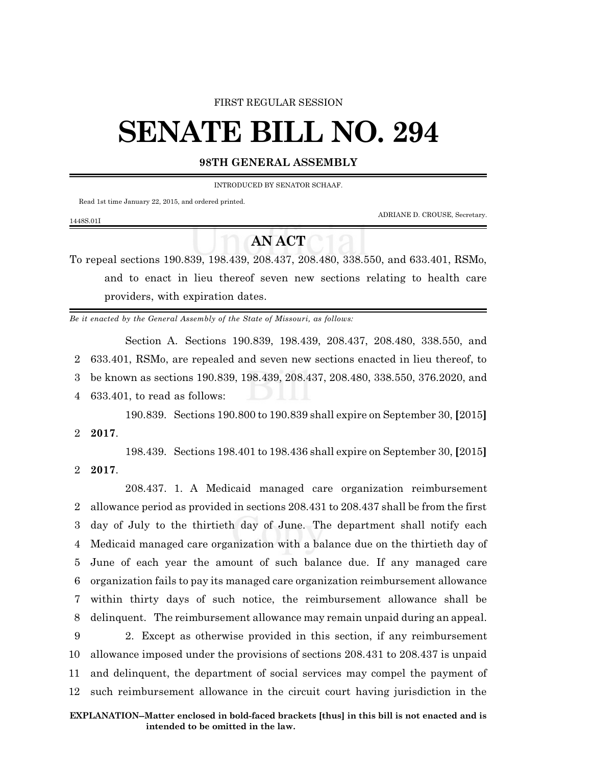#### FIRST REGULAR SESSION

# **SENATE BILL NO. 294**

### **98TH GENERAL ASSEMBLY**

INTRODUCED BY SENATOR SCHAAF.

Read 1st time January 22, 2015, and ordered printed.

ADRIANE D. CROUSE, Secretary.

#### 1448S.01I

## **AN ACT**

To repeal sections 190.839, 198.439, 208.437, 208.480, 338.550, and 633.401, RSMo, and to enact in lieu thereof seven new sections relating to health care providers, with expiration dates.

*Be it enacted by the General Assembly of the State of Missouri, as follows:*

Section A. Sections 190.839, 198.439, 208.437, 208.480, 338.550, and 633.401, RSMo, are repealed and seven new sections enacted in lieu thereof, to be known as sections 190.839, 198.439, 208.437, 208.480, 338.550, 376.2020, and 633.401, to read as follows:

190.839. Sections 190.800 to 190.839 shall expire on September 30, **[**2015**]**

2 **2017**.

198.439. Sections 198.401 to 198.436 shall expire on September 30, **[**2015**]** 2 **2017**.

208.437. 1. A Medicaid managed care organization reimbursement allowance period as provided in sections 208.431 to 208.437 shall be from the first day of July to the thirtieth day of June. The department shall notify each Medicaid managed care organization with a balance due on the thirtieth day of June of each year the amount of such balance due. If any managed care organization fails to pay its managed care organization reimbursement allowance within thirty days of such notice, the reimbursement allowance shall be delinquent. The reimbursement allowance may remain unpaid during an appeal. 2. Except as otherwise provided in this section, if any reimbursement allowance imposed under the provisions of sections 208.431 to 208.437 is unpaid and delinquent, the department of social services may compel the payment of such reimbursement allowance in the circuit court having jurisdiction in the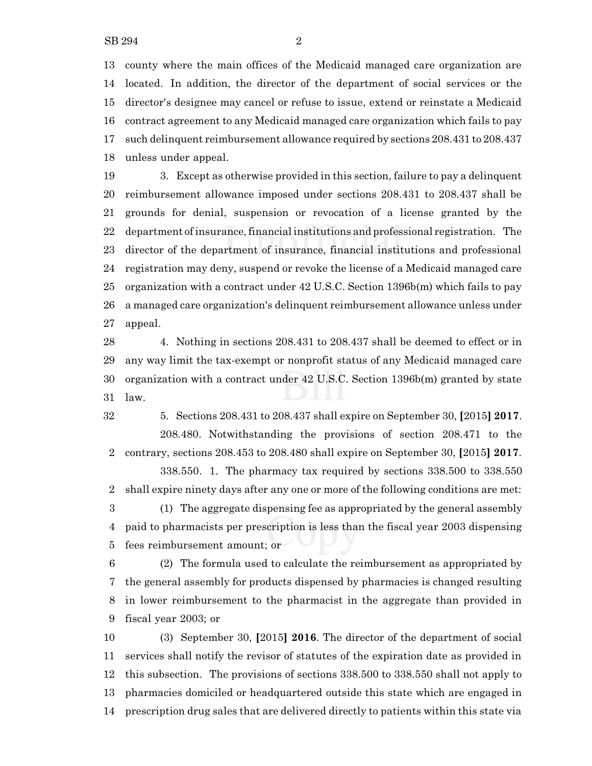county where the main offices of the Medicaid managed care organization are located. In addition, the director of the department of social services or the director's designee may cancel or refuse to issue, extend or reinstate a Medicaid contract agreement to any Medicaid managed care organization which fails to pay such delinquent reimbursement allowance required by sections 208.431 to 208.437 unless under appeal.

 3. Except as otherwise provided in this section, failure to pay a delinquent reimbursement allowance imposed under sections 208.431 to 208.437 shall be grounds for denial, suspension or revocation of a license granted by the department ofinsurance, financial institutions and professional registration. The director of the department of insurance, financial institutions and professional registration may deny, suspend or revoke the license of a Medicaid managed care organization with a contract under 42 U.S.C. Section 1396b(m) which fails to pay a managed care organization's delinquent reimbursement allowance unless under appeal.

 4. Nothing in sections 208.431 to 208.437 shall be deemed to effect or in any way limit the tax-exempt or nonprofit status of any Medicaid managed care organization with a contract under 42 U.S.C. Section 1396b(m) granted by state law.

 5. Sections 208.431 to 208.437 shall expire on September 30, **[**2015**] 2017**. 208.480. Notwithstanding the provisions of section 208.471 to the contrary, sections 208.453 to 208.480 shall expire on September 30, **[**2015**] 2017**.

338.550. 1. The pharmacy tax required by sections 338.500 to 338.550 shall expire ninety days after any one or more of the following conditions are met: (1) The aggregate dispensing fee as appropriated by the general assembly paid to pharmacists per prescription is less than the fiscal year 2003 dispensing fees reimbursement amount; or

 (2) The formula used to calculate the reimbursement as appropriated by the general assembly for products dispensed by pharmacies is changed resulting in lower reimbursement to the pharmacist in the aggregate than provided in fiscal year 2003; or

 (3) September 30, **[**2015**] 2016**. The director of the department of social services shall notify the revisor of statutes of the expiration date as provided in this subsection. The provisions of sections 338.500 to 338.550 shall not apply to pharmacies domiciled or headquartered outside this state which are engaged in prescription drug sales that are delivered directly to patients within this state via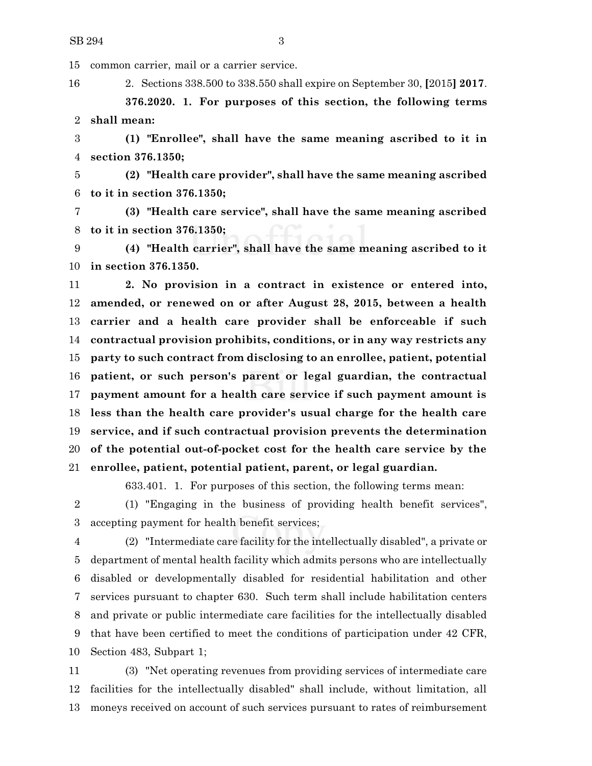common carrier, mail or a carrier service.

2. Sections 338.500 to 338.550 shall expire on September 30, **[**2015**] 2017**.

**376.2020. 1. For purposes of this section, the following terms shall mean:**

 **(1) "Enrollee", shall have the same meaning ascribed to it in section 376.1350;**

 **(2) "Health care provider", shall have the same meaning ascribed to it in section 376.1350;**

 **(3) "Health care service", shall have the same meaning ascribed to it in section 376.1350;**

 **(4) "Health carrier", shall have the same meaning ascribed to it in section 376.1350.**

 **2. No provision in a contract in existence or entered into, amended, or renewed on or after August 28, 2015, between a health carrier and a health care provider shall be enforceable if such contractual provision prohibits, conditions, or in any way restricts any party to such contract from disclosing to an enrollee, patient, potential patient, or such person's parent or legal guardian, the contractual payment amount for a health care service if such payment amount is less than the health care provider's usual charge for the health care service, and if such contractual provision prevents the determination of the potential out-of-pocket cost for the health care service by the enrollee, patient, potential patient, parent, or legal guardian.**

633.401. 1. For purposes of this section, the following terms mean:

 (1) "Engaging in the business of providing health benefit services", accepting payment for health benefit services;

 (2) "Intermediate care facility for the intellectually disabled", a private or department of mental health facility which admits persons who are intellectually disabled or developmentally disabled for residential habilitation and other services pursuant to chapter 630. Such term shall include habilitation centers and private or public intermediate care facilities for the intellectually disabled that have been certified to meet the conditions of participation under 42 CFR, Section 483, Subpart 1;

 (3) "Net operating revenues from providing services of intermediate care facilities for the intellectually disabled" shall include, without limitation, all moneys received on account of such services pursuant to rates of reimbursement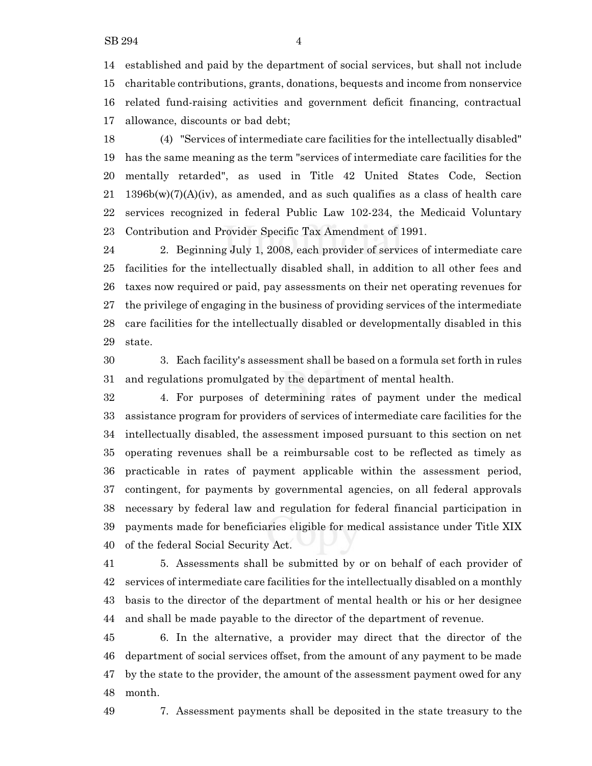established and paid by the department of social services, but shall not include charitable contributions, grants, donations, bequests and income from nonservice related fund-raising activities and government deficit financing, contractual allowance, discounts or bad debt;

 (4) "Services of intermediate care facilities for the intellectually disabled" has the same meaning as the term "services of intermediate care facilities for the mentally retarded", as used in Title 42 United States Code, Section 21 1396b(w)(7)(A)(iv), as amended, and as such qualifies as a class of health care services recognized in federal Public Law 102-234, the Medicaid Voluntary Contribution and Provider Specific Tax Amendment of 1991.

 2. Beginning July 1, 2008, each provider of services of intermediate care facilities for the intellectually disabled shall, in addition to all other fees and taxes now required or paid, pay assessments on their net operating revenues for the privilege of engaging in the business of providing services of the intermediate care facilities for the intellectually disabled or developmentally disabled in this state.

 3. Each facility's assessment shall be based on a formula set forth in rules and regulations promulgated by the department of mental health.

 4. For purposes of determining rates of payment under the medical assistance program for providers of services of intermediate care facilities for the intellectually disabled, the assessment imposed pursuant to this section on net operating revenues shall be a reimbursable cost to be reflected as timely as practicable in rates of payment applicable within the assessment period, contingent, for payments by governmental agencies, on all federal approvals necessary by federal law and regulation for federal financial participation in payments made for beneficiaries eligible for medical assistance under Title XIX of the federal Social Security Act.

 5. Assessments shall be submitted by or on behalf of each provider of services of intermediate care facilities for the intellectually disabled on a monthly basis to the director of the department of mental health or his or her designee and shall be made payable to the director of the department of revenue.

 6. In the alternative, a provider may direct that the director of the department of social services offset, from the amount of any payment to be made by the state to the provider, the amount of the assessment payment owed for any month.

7. Assessment payments shall be deposited in the state treasury to the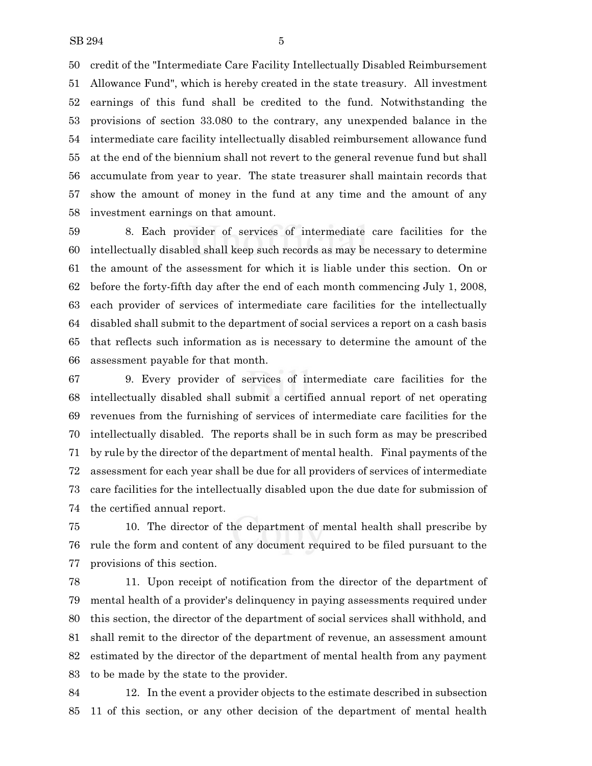credit of the "Intermediate Care Facility Intellectually Disabled Reimbursement Allowance Fund", which is hereby created in the state treasury. All investment earnings of this fund shall be credited to the fund. Notwithstanding the provisions of section 33.080 to the contrary, any unexpended balance in the intermediate care facility intellectually disabled reimbursement allowance fund at the end of the biennium shall not revert to the general revenue fund but shall accumulate from year to year. The state treasurer shall maintain records that show the amount of money in the fund at any time and the amount of any investment earnings on that amount.

 8. Each provider of services of intermediate care facilities for the intellectually disabled shall keep such records as may be necessary to determine the amount of the assessment for which it is liable under this section. On or before the forty-fifth day after the end of each month commencing July 1, 2008, each provider of services of intermediate care facilities for the intellectually disabled shall submit to the department of social services a report on a cash basis that reflects such information as is necessary to determine the amount of the assessment payable for that month.

 9. Every provider of services of intermediate care facilities for the intellectually disabled shall submit a certified annual report of net operating revenues from the furnishing of services of intermediate care facilities for the intellectually disabled. The reports shall be in such form as may be prescribed by rule by the director of the department of mental health. Final payments of the assessment for each year shall be due for all providers of services of intermediate care facilities for the intellectually disabled upon the due date for submission of the certified annual report.

 10. The director of the department of mental health shall prescribe by rule the form and content of any document required to be filed pursuant to the provisions of this section.

 11. Upon receipt of notification from the director of the department of mental health of a provider's delinquency in paying assessments required under this section, the director of the department of social services shall withhold, and shall remit to the director of the department of revenue, an assessment amount estimated by the director of the department of mental health from any payment to be made by the state to the provider.

 12. In the event a provider objects to the estimate described in subsection 11 of this section, or any other decision of the department of mental health